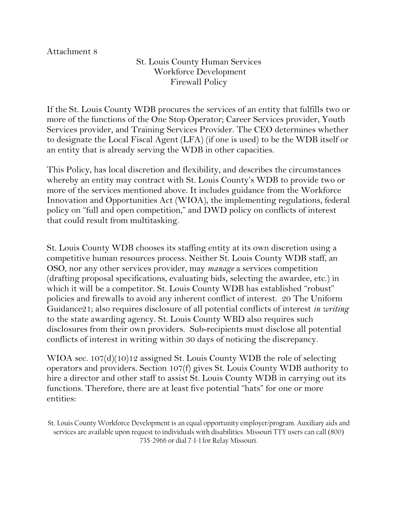## Attachment 8

St. Louis County Human Services Workforce Development Firewall Policy

If the St. Louis County WDB procures the services of an entity that fulfills two or more of the functions of the One Stop Operator; Career Services provider, Youth Services provider, and Training Services Provider. The CEO determines whether to designate the Local Fiscal Agent (LFA) (if one is used) to be the WDB itself or an entity that is already serving the WDB in other capacities.

This Policy, has local discretion and flexibility, and describes the circumstances whereby an entity may contract with St. Louis County's WDB to provide two or more of the services mentioned above. It includes guidance from the Workforce Innovation and Opportunities Act (WIOA), the implementing regulations, federal policy on "full and open competition," and DWD policy on conflicts of interest that could result from multitasking.

St. Louis County WDB chooses its staffing entity at its own discretion using a competitive human resources process. Neither St. Louis County WDB staff, an OSO, nor any other services provider, may *manage* a services competition (drafting proposal specifications, evaluating bids, selecting the awardee, etc.) in which it will be a competitor. St. Louis County WDB has established "robust" policies and firewalls to avoid any inherent conflict of interest. 20 The Uniform Guidance21; also requires disclosure of all potential conflicts of interest *in writing*  to the state awarding agency. St. Louis County WBD also requires such disclosures from their own providers. Sub-recipients must disclose all potential conflicts of interest in writing within 30 days of noticing the discrepancy.

WIOA sec. 107(d)(10)12 assigned St. Louis County WDB the role of selecting operators and providers. Section 107(f) gives St. Louis County WDB authority to hire a director and other staff to assist St. Louis County WDB in carrying out its functions. Therefore, there are at least five potential "hats" for one or more entities:

St. Louis County Workforce Development is an equal opportunity employer/program. Auxiliary aids and services are available upon request to individuals with disabilities. Missouri TTY users can call (800) 735-2966 or dial 7-1-1 for Relay Missouri.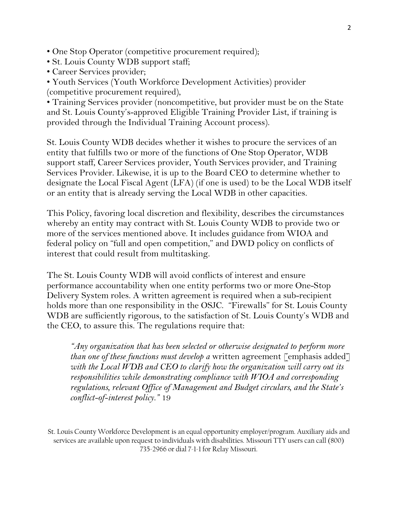• One Stop Operator (competitive procurement required);

- St. Louis County WDB support staff;
- Career Services provider;

• Youth Services (Youth Workforce Development Activities) provider (competitive procurement required),

• Training Services provider (noncompetitive, but provider must be on the State and St. Louis County's-approved Eligible Training Provider List, if training is provided through the Individual Training Account process).

St. Louis County WDB decides whether it wishes to procure the services of an entity that fulfills two or more of the functions of One Stop Operator, WDB support staff, Career Services provider, Youth Services provider, and Training Services Provider. Likewise, it is up to the Board CEO to determine whether to designate the Local Fiscal Agent (LFA) (if one is used) to be the Local WDB itself or an entity that is already serving the Local WDB in other capacities.

This Policy, favoring local discretion and flexibility, describes the circumstances whereby an entity may contract with St. Louis County WDB to provide two or more of the services mentioned above. It includes guidance from WIOA and federal policy on "full and open competition," and DWD policy on conflicts of interest that could result from multitasking.

The St. Louis County WDB will avoid conflicts of interest and ensure performance accountability when one entity performs two or more One-Stop Delivery System roles. A written agreement is required when a sub-recipient holds more than one responsibility in the OSJC. "Firewalls" for St. Louis County WDB are sufficiently rigorous, to the satisfaction of St. Louis County's WDB and the CEO, to assure this. The regulations require that:

*"Any organization that has been selected or otherwise designated to perform more than one of these functions must develop a* written agreement [emphasis added] *with the Local WDB and CEO to clarify how the organization will carry out its responsibilities while demonstrating compliance with WIOA and corresponding regulations, relevant Office of Management and Budget circulars, and the State's conflict-of-interest policy."* 19

St. Louis County Workforce Development is an equal opportunity employer/program. Auxiliary aids and services are available upon request to individuals with disabilities. Missouri TTY users can call (800) 735-2966 or dial 7-1-1 for Relay Missouri.